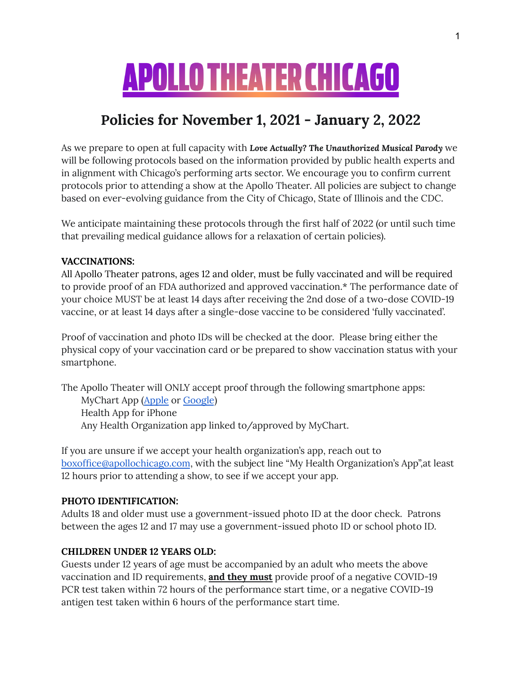# **APOLLO THEATER CHICAGO**

## **Policies for November 1, 2021 - January 2, 2022**

As we prepare to open at full capacity with *Love Actually? The Unauthorized Musical Parody* we will be following protocols based on the information provided by public health experts and in alignment with Chicago's performing arts sector. We encourage you to confirm current protocols prior to attending a show at the Apollo Theater. All policies are subject to change based on ever-evolving guidance from the City of Chicago, State of Illinois and the CDC.

We anticipate maintaining these protocols through the first half of 2022 (or until such time that prevailing medical guidance allows for a relaxation of certain policies).

#### **VACCINATIONS:**

All Apollo Theater patrons, ages 12 and older, must be fully vaccinated and will be required to provide proof of an FDA authorized and approved vaccination.\* The performance date of your choice MUST be at least 14 days after receiving the 2nd dose of a two-dose COVID-19 vaccine, or at least 14 days after a single-dose vaccine to be considered 'fully vaccinated'.

Proof of vaccination and photo IDs will be checked at the door. Please bring either the physical copy of your vaccination card or be prepared to show vaccination status with your smartphone.

The Apollo Theater will ONLY accept proof through the following smartphone apps: MyChart App [\(Apple](https://apps.apple.com/us/app/mychart/id382952264) or [Google](https://play.google.com/store/apps/details?id=epic.mychart.android&hl=en_US&gl=US)) Health App for iPhone Any Health Organization app linked to/approved by MyChart.

If you are unsure if we accept your health organization's app, reach out to [boxoffice@apollochicago.com](mailto:boxoffice@apollochicago.com), with the subject line "My Health Organization's App",at least 12 hours prior to attending a show, to see if we accept your app.

#### **PHOTO IDENTIFICATION:**

Adults 18 and older must use a government-issued photo ID at the door check. Patrons between the ages 12 and 17 may use a government-issued photo ID or school photo ID.

#### **CHILDREN UNDER 12 YEARS OLD:**

Guests under 12 years of age must be accompanied by an adult who meets the above vaccination and ID requirements, **and they must** provide proof of a negative COVID-19 PCR test taken within 72 hours of the performance start time, or a negative COVID-19 antigen test taken within 6 hours of the performance start time.